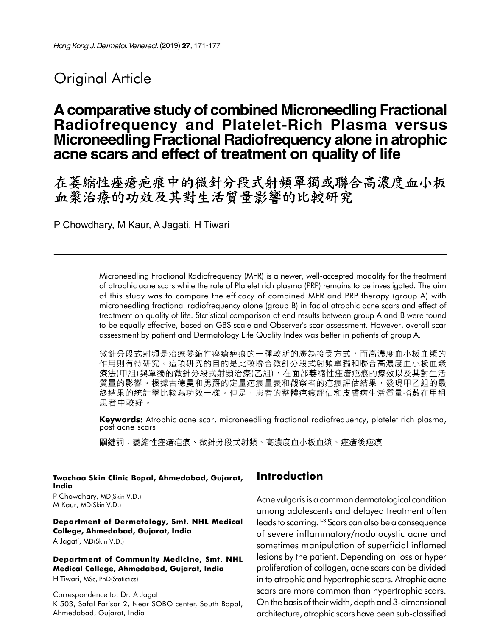# **Original Article**

# A comparative study of combined Microneedling Fractional Radiofrequency and Platelet-Rich Plasma versus Microneedling Fractional Radiofrequency alone in atrophic acne scars and effect of treatment on quality of life

在萎缩性痤瘡疤痕中的微針分段式射頻單獨或聯合高濃度血小板 血漿治療的功效及其對生活質量影響的比較研究

P Chowdhary, M Kaur, A Jagati, H Tiwari

Microneedling Fractional Radiofrequency (MFR) is a newer, well-accepted modality for the treatment of atrophic acne scars while the role of Platelet rich plasma (PRP) remains to be investigated. The aim of this study was to compare the efficacy of combined MFR and PRP therapy (group A) with microneedling fractional radiofrequency alone (group B) in facial atrophic acne scars and effect of treatment on quality of life. Statistical comparison of end results between group A and B were found to be equally effective, based on GBS scale and Observer's scar assessment. However, overall scar assessment by patient and Dermatology Life Quality Index was better in patients of group A.

微針分段式射頻是治療萎縮性痤瘡疤痕的一種較新的廣為接受方式,而高濃度血小板血漿的 作用則有待研究。這項研究的目的是比較聯合微針分段式射頻單獨和聯合高濃度血小板血漿 療法(甲組)與單獨的微針分段式射頻治療(乙組),在面部萎縮性痤瘡疤痕的療效以及其對生活 質量的影響。根據古德曼和男爵的定量疤痕量表和觀察者的疤痕評估結果,發現甲乙組的最 終結果的統計學比較為功效一樣。但是,患者的整體疤痕評估和皮膚病生活質量指數在甲組 患者中較好。

Keywords: Atrophic acne scar, microneedling fractional radiofrequency, platelet rich plasma, post acne scars

關鍵詞:萎縮性痤瘡疤痕、微針分段式射頻、高濃度血小板血漿、痤瘡後疤痕

Twachaa Skin Clinic Bopal, Ahmedabad, Gujarat, India

P Chowdhary, MD(Skin V.D.) M Kaur, MD(Skin V.D.)

#### Department of Dermatology, Smt. NHL Medical College, Ahmedabad, Gujarat, India

A Jagati, MD(Skin V.D.)

Department of Community Medicine, Smt. NHL Medical College, Ahmedabad, Gujarat, India

H Tiwari, MSc, PhD(Statistics)

Correspondence to: Dr. A Jagati K 503, Safal Parisar 2, Near SOBO center, South Bopal, Ahmedabad, Gujarat, India

## Introduction

Acne vulgaris is a common dermatological condition among adolescents and delayed treatment often leads to scarring.1-3 Scars can also be a consequence of severe inflammatory/nodulocystic acne and sometimes manipulation of superficial inflamed lesions by the patient. Depending on loss or hyper proliferation of collagen, acne scars can be divided in to atrophic and hypertrophic scars. Atrophic acne scars are more common than hypertrophic scars. On the basis of their width, depth and 3-dimensional architecture, atrophic scars have been sub-classified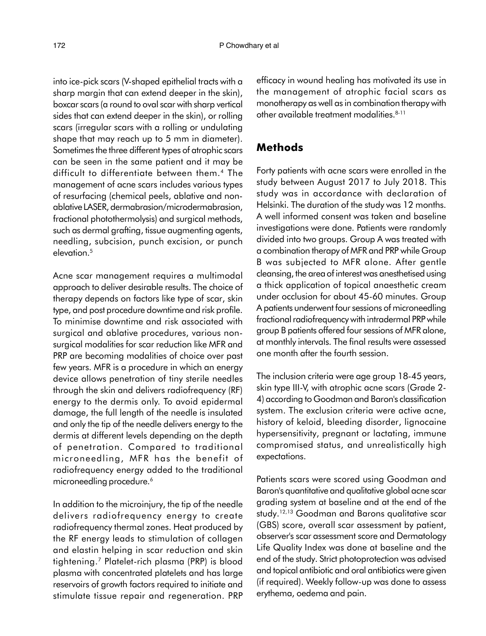into ice-pick scars (V-shaped epithelial tracts with a sharp margin that can extend deeper in the skin), boxcar scars (a round to oval scar with sharp vertical sides that can extend deeper in the skin), or rolling scars (irregular scars with a rolling or undulating shape that may reach up to 5 mm in diameter). Sometimes the three different types of atrophic scars can be seen in the same patient and it may be difficult to differentiate between them.<sup>4</sup> The management of acne scars includes various types of resurfacing (chemical peels, ablative and nonablative LASER, dermabrasion/microdermabrasion, fractional photothermolysis) and surgical methods, such as dermal grafting, tissue augmenting agents, needling, subcision, punch excision, or punch elevation.<sup>5</sup>

Acne scar management requires a multimodal approach to deliver desirable results. The choice of therapy depends on factors like type of scar, skin type, and post procedure downtime and risk profile. To minimise downtime and risk associated with surgical and ablative procedures, various nonsurgical modalities for scar reduction like MFR and PRP are becoming modalities of choice over past few years. MFR is a procedure in which an energy device allows penetration of tiny sterile needles through the skin and delivers radiofrequency (RF) energy to the dermis only. To avoid epidermal damage, the full length of the needle is insulated and only the tip of the needle delivers energy to the dermis at different levels depending on the depth of penetration. Compared to traditional microneedling, MFR has the benefit of radiofrequency energy added to the traditional microneedling procedure.<sup>6</sup>

In addition to the microinjury, the tip of the needle delivers radiofrequency energy to create radiofrequency thermal zones. Heat produced by the RF energy leads to stimulation of collagen and elastin helping in scar reduction and skin tightening.<sup>7</sup> Platelet-rich plasma (PRP) is blood plasma with concentrated platelets and has large reservoirs of growth factors required to initiate and stimulate tissue repair and regeneration. PRP

efficacy in wound healing has motivated its use in the management of atrophic facial scars as monotherapy as well as in combination therapy with other available treatment modalities.<sup>8-11</sup>

#### Methods

Forty patients with acne scars were enrolled in the study between August 2017 to July 2018. This study was in accordance with declaration of Helsinki. The duration of the study was 12 months. A well informed consent was taken and baseline investigations were done. Patients were randomly divided into two groups. Group A was treated with a combination therapy of MFR and PRP while Group B was subjected to MFR alone. After gentle cleansing, the area of interest was anesthetised using a thick application of topical anaesthetic cream under occlusion for about 45-60 minutes. Group A patients underwent four sessions of microneedling fractional radiofrequency with intradermal PRP while group B patients offered four sessions of MFR alone, at monthly intervals. The final results were assessed one month after the fourth session.

The inclusion criteria were age group 18-45 years, skin type III-V, with atrophic acne scars (Grade 2- 4) according to Goodman and Baron's classification system. The exclusion criteria were active acne, history of keloid, bleeding disorder, lignocaine hypersensitivity, pregnant or lactating, immune compromised status, and unrealistically high expectations.

Patients scars were scored using Goodman and Baron's quantitative and qualitative global acne scar grading system at baseline and at the end of the study.12,13 Goodman and Barons qualitative scar (GBS) score, overall scar assessment by patient, observer's scar assessment score and Dermatology Life Quality Index was done at baseline and the end of the study. Strict photoprotection was advised and topical antibiotic and oral antibiotics were given (if required). Weekly follow-up was done to assess erythema, oedema and pain.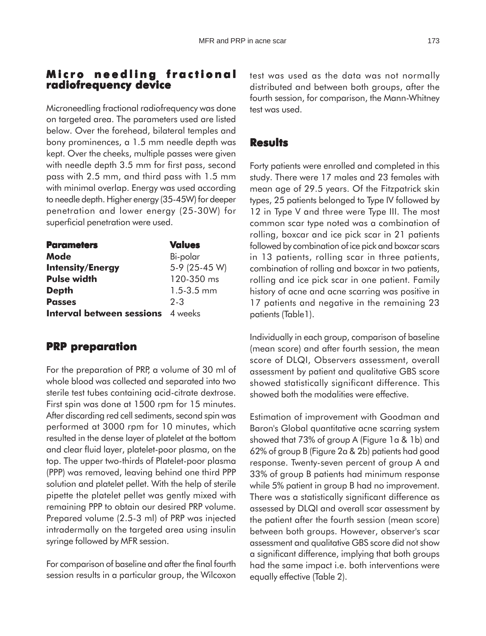### **Micro needling fractional Micro needling radiofrequency device**

Microneedling fractional radiofrequency was done on targeted area. The parameters used are listed below. Over the forehead, bilateral temples and bony prominences, a 1.5 mm needle depth was kept. Over the cheeks, multiple passes were given with needle depth 3.5 mm for first pass, second pass with 2.5 mm, and third pass with 1.5 mm with minimal overlap. Energy was used according to needle depth. Higher energy (35-45W) for deeper penetration and lower energy (25-30W) for superficial penetration were used.

| <b>Values</b>                            |
|------------------------------------------|
| Bi-polar                                 |
| 5-9 (25-45 W)                            |
| 120-350 ms                               |
| $1.5 - 3.5$ mm                           |
| $2 - 3$                                  |
| <b>Interval between sessions</b> 4 weeks |
|                                          |

### **PRP preparation**

For the preparation of PRP, a volume of 30 ml of whole blood was collected and separated into two sterile test tubes containing acid-citrate dextrose. First spin was done at 1500 rpm for 15 minutes. After discarding red cell sediments, second spin was performed at 3000 rpm for 10 minutes, which resulted in the dense layer of platelet at the bottom and clear fluid layer, platelet-poor plasma, on the top. The upper two-thirds of Platelet-poor plasma (PPP) was removed, leaving behind one third PPP solution and platelet pellet. With the help of sterile pipette the platelet pellet was gently mixed with remaining PPP to obtain our desired PRP volume. Prepared volume (2.5-3 ml) of PRP was injected intradermally on the targeted area using insulin syringe followed by MFR session.

For comparison of baseline and after the final fourth session results in a particular group, the Wilcoxon test was used as the data was not normally distributed and between both groups, after the fourth session, for comparison, the Mann-Whitney test was used.

#### **Results**

Forty patients were enrolled and completed in this study. There were 17 males and 23 females with mean age of 29.5 years. Of the Fitzpatrick skin types, 25 patients belonged to Type IV followed by 12 in Type V and three were Type III. The most common scar type noted was a combination of rolling, boxcar and ice pick scar in 21 patients followed by combination of ice pick and boxcar scars in 13 patients, rolling scar in three patients, combination of rolling and boxcar in two patients, rolling and ice pick scar in one patient. Family history of acne and acne scarring was positive in 17 patients and negative in the remaining 23 patients (Table1).

Individually in each group, comparison of baseline (mean score) and after fourth session, the mean score of DLQI, Observers assessment, overall assessment by patient and qualitative GBS score showed statistically significant difference. This showed both the modalities were effective.

Estimation of improvement with Goodman and Baron's Global quantitative acne scarring system showed that 73% of group A (Figure 1a & 1b) and 62% of group B (Figure 2a & 2b) patients had good response. Twenty-seven percent of group A and 33% of group B patients had minimum response while 5% patient in group B had no improvement. There was a statistically significant difference as assessed by DLQI and overall scar assessment by the patient after the fourth session (mean score) between both groups. However, observer's scar assessment and qualitative GBS score did not show a significant difference, implying that both groups had the same impact i.e. both interventions were equally effective (Table 2).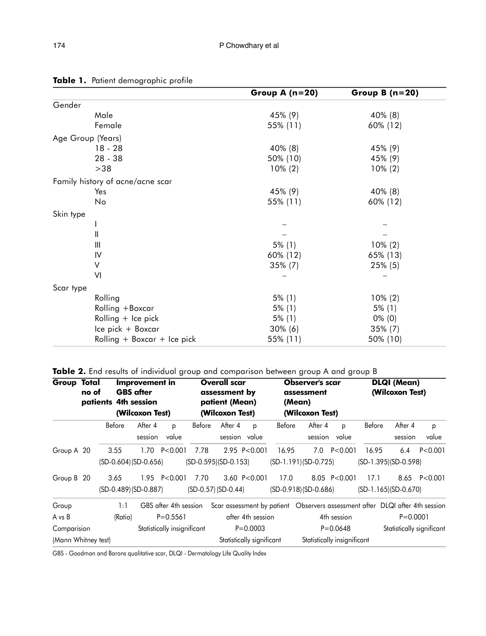|                    |                                                      |                  |                                  |        |                          | Group A $(n=20)$ |                                                                                     |                          | Group B $(n=20)$       |               |  |  |
|--------------------|------------------------------------------------------|------------------|----------------------------------|--------|--------------------------|------------------|-------------------------------------------------------------------------------------|--------------------------|------------------------|---------------|--|--|
| Gender             |                                                      |                  |                                  |        |                          |                  |                                                                                     |                          |                        |               |  |  |
|                    |                                                      | Male             |                                  |        |                          | 45% (9)          |                                                                                     | 40% (8)                  |                        |               |  |  |
|                    |                                                      | Female           |                                  |        |                          | 55% (11)         |                                                                                     | 60% (12)                 |                        |               |  |  |
| Age Group (Years)  |                                                      |                  |                                  |        |                          |                  |                                                                                     |                          |                        |               |  |  |
|                    |                                                      | $18 - 28$        |                                  |        |                          | 40% (8)          |                                                                                     | 45% (9)                  |                        |               |  |  |
|                    |                                                      | $28 - 38$        |                                  |        |                          | 50% (10)         |                                                                                     | 45% (9)                  |                        |               |  |  |
|                    |                                                      | $>38$            |                                  |        |                          | $10\% (2)$       |                                                                                     | $10\% (2)$               |                        |               |  |  |
|                    |                                                      |                  | Family history of acne/acne scar |        |                          |                  |                                                                                     |                          |                        |               |  |  |
|                    | Yes                                                  |                  |                                  |        |                          | 45% (9)          |                                                                                     | 40% (8)                  |                        |               |  |  |
|                    | No                                                   |                  |                                  |        |                          | 55% (11)         |                                                                                     | 60% (12)                 |                        |               |  |  |
| Skin type          |                                                      |                  |                                  |        |                          |                  |                                                                                     |                          |                        |               |  |  |
|                    |                                                      |                  |                                  |        |                          |                  |                                                                                     | -                        |                        |               |  |  |
|                    | Ш                                                    |                  |                                  |        |                          |                  |                                                                                     |                          |                        |               |  |  |
|                    | Ш                                                    |                  |                                  |        |                          | $5\%$ (1)        |                                                                                     | $10\% (2)$               |                        |               |  |  |
|                    | IV                                                   |                  |                                  |        |                          | 60% (12)         |                                                                                     | 65% (13)                 |                        |               |  |  |
|                    | $\vee$                                               |                  |                                  |        |                          | $35\%$ (7)       |                                                                                     | 25% (5)                  |                        |               |  |  |
|                    | VI                                                   |                  |                                  |        |                          |                  |                                                                                     | $\overline{\phantom{0}}$ |                        |               |  |  |
| Scar type          |                                                      |                  |                                  |        |                          |                  |                                                                                     |                          |                        |               |  |  |
|                    |                                                      | Rolling          |                                  |        |                          | $5\%$ (1)        |                                                                                     | $10\% (2)$               |                        |               |  |  |
|                    |                                                      | Rolling + Boxcar |                                  |        |                          | $5\%$ (1)        |                                                                                     | $5\%$ (1)                |                        |               |  |  |
|                    |                                                      |                  | Rolling $+$ Ice pick             |        |                          | $5\%$ (1)        |                                                                                     | $0\%$ (0)                |                        |               |  |  |
|                    |                                                      |                  |                                  |        |                          | $30\%$ (6)       |                                                                                     | 35% (7)                  |                        |               |  |  |
|                    | Ice pick + Boxcar<br>Rolling $+$ Boxcar $+$ Ice pick |                  |                                  |        |                          | 55% (11)         |                                                                                     |                          |                        | 50% (10)      |  |  |
|                    |                                                      |                  |                                  |        |                          |                  |                                                                                     |                          |                        |               |  |  |
|                    |                                                      |                  |                                  |        |                          |                  | Table 2. End results of individual group and comparison between group A and group B |                          |                        |               |  |  |
| <b>Group Total</b> | <b>Improvement in</b>                                |                  |                                  |        | <b>Overall scar</b>      |                  | <b>Observer's scar</b>                                                              | <b>DLQI (Mean)</b>       |                        |               |  |  |
|                    | <b>GBS</b> after<br>no of                            |                  |                                  |        | assessment by            | assessment       | (Wilcoxon Test)                                                                     |                          |                        |               |  |  |
|                    | patients 4th session                                 |                  |                                  |        | patient (Mean)<br>(Mean) |                  |                                                                                     |                          |                        |               |  |  |
|                    |                                                      |                  | (Wilcoxon Test)                  |        | (Wilcoxon Test)          |                  | (Wilcoxon Test)                                                                     |                          |                        |               |  |  |
|                    |                                                      | Before           | After 4<br>p                     | Before | After 4<br>p             | Before           | After 4<br>p                                                                        | Before                   | After 4                | p             |  |  |
|                    |                                                      |                  | session<br>value                 |        | session value            |                  | session value                                                                       |                          | session                | value         |  |  |
| Group A 20         |                                                      | 3.55             | 1.70 P<0.001 7.78                |        | 2.95 P<0.001             | 16.95            | 7.0 P<0.001                                                                         | 16.95                    |                        | $6.4$ P<0.001 |  |  |
|                    |                                                      |                  | (SD-0.604) (SD-0.656)            |        | (SD-0.595)(SD-0.153)     |                  | $(SD-1.191)(SD-0.725)$                                                              |                          | $(SD-1.395)(SD-0.598)$ |               |  |  |
| Group B 20         |                                                      | 3.65             | 1.95 P<0.001 7.70                |        | 3.60 P<0.001             | 17.0             | 8.05 P<0.001                                                                        | 17.1                     |                        | 8.65 P<0.001  |  |  |
|                    |                                                      |                  | (SD-0 489) (SD-0 887)            |        | $(SD-0.57) (SD-0.44)$    |                  | $(SD-0.918)(SD-0.686)$                                                              |                          | $(SD-1 165)(SD-0 670)$ |               |  |  |

Table 1. Patient demographic profile

| Ш<br>IV<br>V<br>VI<br>Scar type<br>Rolling<br>Rolling + Boxcar                                                     |                                |                                           |                                             |        |                                                        |                                   | $5\%$ (1)<br>60% (12)<br>$35\%$ (7)<br>$5\%$ (1)<br>$5\%$ (1) |                                                                                                    |                             | $10\% (2)$<br>65% (13)<br>25% (5)<br>$\overline{\phantom{0}}$<br>$10\% (2)$<br>$5\%$ (1) |                                           |              |  |
|--------------------------------------------------------------------------------------------------------------------|--------------------------------|-------------------------------------------|---------------------------------------------|--------|--------------------------------------------------------|-----------------------------------|---------------------------------------------------------------|----------------------------------------------------------------------------------------------------|-----------------------------|------------------------------------------------------------------------------------------|-------------------------------------------|--------------|--|
| Rolling $+$ Ice pick<br>Ice pick + Boxcar<br>Rolling $+$ Boxcar $+$ Ice pick                                       |                                |                                           |                                             |        | $5\%$ (1)<br>$30\%$ (6)<br>55% (11)                    |                                   |                                                               |                                                                                                    |                             |                                                                                          | $0\%$ (0)<br>$35\%$ (7)<br>50% (10)       |              |  |
| Table 2. End results of individual group and comparison between group A and group B<br><b>Group Total</b><br>no of | patients 4th session           | <b>Improvement in</b><br><b>GBS</b> after |                                             |        | <b>Overall scar</b><br>assessment by<br>patient (Mean) |                                   | (Mean)                                                        | <b>Observer's scar</b><br>assessment                                                               |                             |                                                                                          | <b>DLQI (Mean)</b><br>(Wilcoxon Test)     |              |  |
|                                                                                                                    | Before                         | (Wilcoxon Test)<br>After 4                | p                                           | Before | (Wilcoxon Test)<br>After 4                             | p                                 | Before                                                        | (Wilcoxon Test)<br>After 4                                                                         | p                           | Before                                                                                   | After 4                                   | p            |  |
|                                                                                                                    |                                | session                                   | value                                       |        | session value                                          |                                   |                                                               |                                                                                                    | session value               |                                                                                          | session                                   | value        |  |
| Group A 20                                                                                                         | 3.55<br>$(SD-0.604)(SD-0.656)$ |                                           | $1.70$ P<0.001                              | 7.78   | $(SD-0.595)(SD-0.153)$                                 | 2.95 P<0.001                      | 16.95                                                         | 7.0<br>$(SD-1.191)(SD-0.725)$                                                                      | P < 0.001                   | 16.95                                                                                    | 6.4<br>(SD-1.395)(SD-0.598)               | P < 0.001    |  |
| Group B 20                                                                                                         | 3.65<br>(SD-0.489) (SD-0.887)  |                                           | 1.95 P<0.001 7.70                           |        | (SD-0.57) (SD-0.44)                                    | 3.60 P<0.001                      | 17.0                                                          | $(SD-0.918)(SD-0.686)$                                                                             | 8.05 P<0.001                | 17.1                                                                                     | $(SD-1.165)(SD-0.670)$                    | 8.65 P<0.001 |  |
| Group<br>A vs B<br>Comparision                                                                                     | 1:1<br>(Ratio)                 |                                           | $P = 0.5561$<br>Statistically insignificant |        |                                                        | after 4th session<br>$P = 0.0003$ |                                                               | GBS after 4th session Scar assessment by patient Observers assessment after DLQI after 4th session | 4th session<br>$P = 0.0648$ |                                                                                          | $P = 0.0001$<br>Statistically significant |              |  |
| (Mann Whitney test)                                                                                                |                                |                                           |                                             |        | Statistically significant                              |                                   |                                                               | Statistically insignificant                                                                        |                             |                                                                                          |                                           |              |  |
| GBS - Goodman and Barons qualitative scar, DLQI - Dermatology Life Quality Index                                   |                                |                                           |                                             |        |                                                        |                                   |                                                               |                                                                                                    |                             |                                                                                          |                                           |              |  |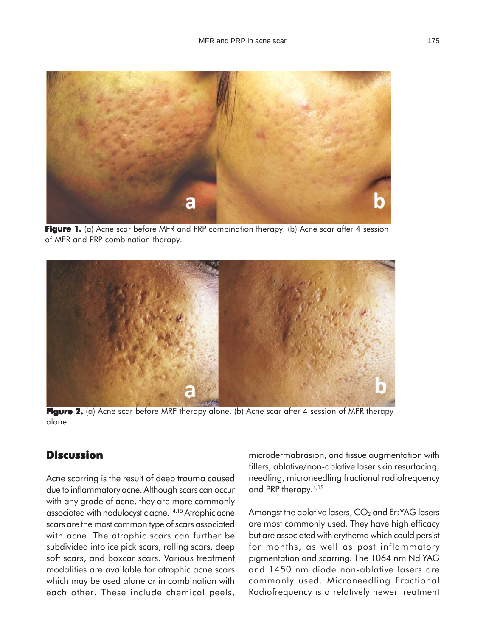

**Figure 1.** (a) Acne scar before MFR and PRP combination therapy. (b) Acne scar after 4 session of MFR and PRP combination therapy.



**Figure 2.** (a) Acne scar before MRF therapy alone. (b) Acne scar after 4 session of MFR therapy alone.

# **Discussion**

Acne scarring is the result of deep trauma caused due to inflammatory acne. Although scars can occur with any grade of acne, they are more commonly associated with nodulocystic acne.14,15 Atrophic acne scars are the most common type of scars associated with acne. The atrophic scars can further be subdivided into ice pick scars, rolling scars, deep soft scars, and boxcar scars. Various treatment modalities are available for atrophic acne scars which may be used alone or in combination with each other. These include chemical peels,

microdermabrasion, and tissue augmentation with fillers, ablative/non-ablative laser skin resurfacing, needling, microneedling fractional radiofrequency and PRP therapy.4,15

Amongst the ablative lasers,  $CO<sub>2</sub>$  and Er:YAG lasers are most commonly used. They have high efficacy but are associated with erythema which could persist for months, as well as post inflammatory pigmentation and scarring. The 1064 nm Nd YAG and 1450 nm diode non-ablative lasers are commonly used. Microneedling Fractional Radiofrequency is a relatively newer treatment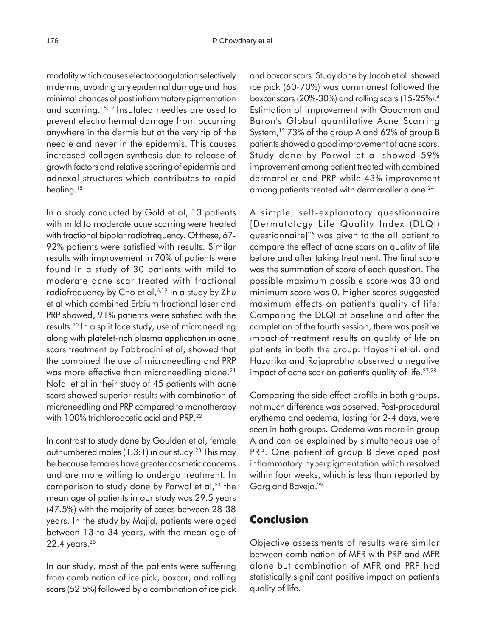modality which causes electrocoagulation selectively in dermis, avoiding any epidermal damage and thus minimal chances of post inflammatory pigmentation and scarring.16,17 Insulated needles are used to prevent electrothermal damage from occurring anywhere in the dermis but at the very tip of the needle and never in the epidermis. This causes increased collagen synthesis due to release of growth factors and relative sparing of epidermis and adnexal structures which contributes to rapid healing.<sup>18</sup>

In a study conducted by Gold et al, 13 patients with mild to moderate acne scarring were treated with fractional bipolar radiofrequency. Of these, 67- 92% patients were satisfied with results. Similar results with improvement in 70% of patients were found in a study of 30 patients with mild to moderate acne scar treated with fractional radiofrequency by Cho et al,<sup>6,19</sup> In a study by Zhu et al which combined Erbium fractional laser and PRP showed, 91% patients were satisfied with the results.20 In a split face study, use of microneedling along with platelet-rich plasma application in acne scars treatment by Fabbrocini et al, showed that the combined the use of microneedling and PRP was more effective than microneedling alone.<sup>21</sup> Nofal et al in their study of 45 patients with acne scars showed superior results with combination of microneedling and PRP compared to monotherapy with 100% trichloroacetic acid and PRP.<sup>22</sup>

In contrast to study done by Goulden et al, female outnumbered males  $(1.3:1)$  in our study.<sup>23</sup> This may be because females have greater cosmetic concerns and are more willing to undergo treatment. In comparison to study done by Porwal et al, $24$  the mean age of patients in our study was 29.5 years (47.5%) with the majority of cases between 28-38 years. In the study by Majid, patients were aged between 13 to 34 years, with the mean age of 22.4 years.25

In our study, most of the patients were suffering from combination of ice pick, boxcar, and rolling scars (52.5%) followed by a combination of ice pick and boxcar scars. Study done by Jacob et al. showed ice pick (60-70%) was commonest followed the boxcar scars (20%-30%) and rolling scars (15-25%).4 Estimation of improvement with Goodman and Baron's Global quantitative Acne Scarring System,<sup>12</sup> 73% of the group A and 62% of group B patients showed a good improvement of acne scars. Study done by Porwal et al showed 59% improvement among patient treated with combined dermaroller and PRP while 43% improvement among patients treated with dermaroller alone.<sup>24</sup>

A simple, self-explanatory questionnaire [Dermatology Life Quality Index (DLQI) questionnaire]26 was given to the all patient to compare the effect of acne scars on quality of life before and after taking treatment. The final score was the summation of score of each question. The possible maximum possible score was 30 and minimum score was 0. Higher scores suggested maximum effects on patient's quality of life. Comparing the DLQI at baseline and after the completion of the fourth session, there was positive impact of treatment results on quality of life on patients in both the group. Hayashi et al. and Hazarika and Rajaprabha observed a negative impact of acne scar on patient's quality of life.<sup>27,28</sup>

Comparing the side effect profile in both groups, not much difference was observed. Post-procedural erythema and oedema, lasting for 2-4 days, were seen in both groups. Oedema was more in group A and can be explained by simultaneous use of PRP. One patient of group B developed post inflammatory hyperpigmentation which resolved within four weeks, which is less than reported by Garg and Baveja.29

### **Conclusion**

Objective assessments of results were similar between combination of MFR with PRP and MFR alone but combination of MFR and PRP had statistically significant positive impact on patient's quality of life.